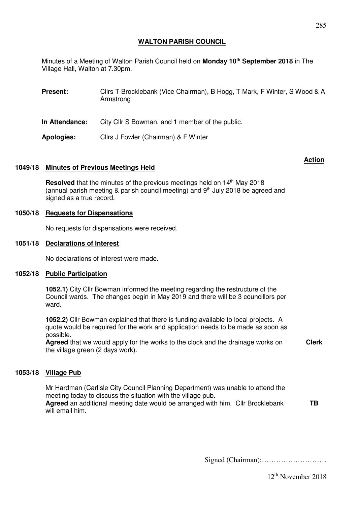# **WALTON PARISH COUNCIL**

Minutes of a Meeting of Walton Parish Council held on **Monday 10th September 2018** in The Village Hall, Walton at 7.30pm.

| <b>Present:</b> | Cllrs T Brocklebank (Vice Chairman), B Hogg, T Mark, F Winter, S Wood & A<br>Armstrong |
|-----------------|----------------------------------------------------------------------------------------|
| In Attendance:  | City Cllr S Bowman, and 1 member of the public.                                        |
| Apologies:      | Cllrs J Fowler (Chairman) & F Winter                                                   |

### **Action**

### **1049/18 Minutes of Previous Meetings Held**

Resolved that the minutes of the previous meetings held on 14<sup>th</sup> May 2018 (annual parish meeting & parish council meeting) and  $9<sup>th</sup>$  July 2018 be agreed and signed as a true record.

### **1050/18 Requests for Dispensations**

No requests for dispensations were received.

#### **1051/18 Declarations of Interest**

No declarations of interest were made.

#### **1052/18 Public Participation**

**1052.1)** City Cllr Bowman informed the meeting regarding the restructure of the Council wards. The changes begin in May 2019 and there will be 3 councillors per ward.

**1052.2)** Cllr Bowman explained that there is funding available to local projects. A quote would be required for the work and application needs to be made as soon as possible.

**Agreed** that we would apply for the works to the clock and the drainage works on the village green (2 days work). **Clerk** 

# **1053/18 Village Pub**

Mr Hardman (Carlisle City Council Planning Department) was unable to attend the meeting today to discuss the situation with the village pub. **Agreed** an additional meeting date would be arranged with him. Cllr Brocklebank will email him. **TB** 

Signed (Chairman):………………………

12th November 2018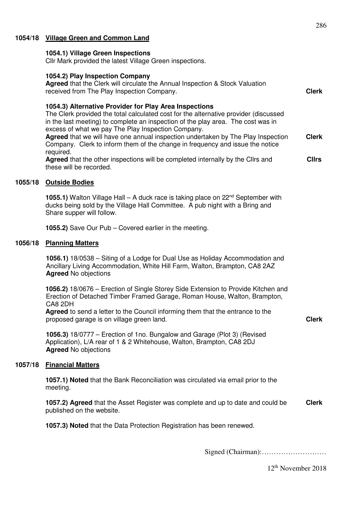### **1054/18 Village Green and Common Land**

#### **1054.1) Village Green Inspections**

Cllr Mark provided the latest Village Green inspections.

### **1054.2) Play Inspection Company**

|         | <b>Agreed</b> that the Clerk will circulate the Annual Inspection & Stock Valuation<br>received from The Play Inspection Company.                                                                                                                                                                                                                                            | <b>Clerk</b> |
|---------|------------------------------------------------------------------------------------------------------------------------------------------------------------------------------------------------------------------------------------------------------------------------------------------------------------------------------------------------------------------------------|--------------|
|         | 1054.3) Alternative Provider for Play Area Inspections<br>The Clerk provided the total calculated cost for the alternative provider (discussed<br>in the last meeting) to complete an inspection of the play area. The cost was in<br>excess of what we pay The Play Inspection Company.<br>Agreed that we will have one annual inspection undertaken by The Play Inspection | <b>Clerk</b> |
|         | Company. Clerk to inform them of the change in frequency and issue the notice<br>required.                                                                                                                                                                                                                                                                                   |              |
|         | Agreed that the other inspections will be completed internally by the Clirs and<br>these will be recorded.                                                                                                                                                                                                                                                                   | <b>Cllrs</b> |
| 1055/18 | <b>Outside Bodies</b>                                                                                                                                                                                                                                                                                                                                                        |              |

**1055.1)** Walton Village Hall – A duck race is taking place on 22<sup>nd</sup> September with ducks being sold by the Village Hall Committee. A pub night with a Bring and Share supper will follow.

**1055.2)** Save Our Pub – Covered earlier in the meeting.

#### **1056/18 Planning Matters**

**1056.1)** 18/0538 – Siting of a Lodge for Dual Use as Holiday Accommodation and Ancillary Living Accommodation, White Hill Farm, Walton, Brampton, CA8 2AZ **Agreed** No objections

**1056.2)** 18/0676 – Erection of Single Storey Side Extension to Provide Kitchen and Erection of Detached Timber Framed Garage, Roman House, Walton, Brampton, CA8 2DH

**Agreed** to send a letter to the Council informing them that the entrance to the proposed garage is on village green land.

**Clerk** 

**1056.3)** 18/0777 – Erection of 1no. Bungalow and Garage (Plot 3) (Revised Application), L/A rear of 1 & 2 Whitehouse, Walton, Brampton, CA8 2DJ **Agreed** No objections

#### **1057/18 Financial Matters**

**1057.1) Noted** that the Bank Reconciliation was circulated via email prior to the meeting.

**1057.2) Agreed** that the Asset Register was complete and up to date and could be published on the website. **Clerk** 

**1057.3) Noted** that the Data Protection Registration has been renewed.

Signed (Chairman):………………………

286

12th November 2018